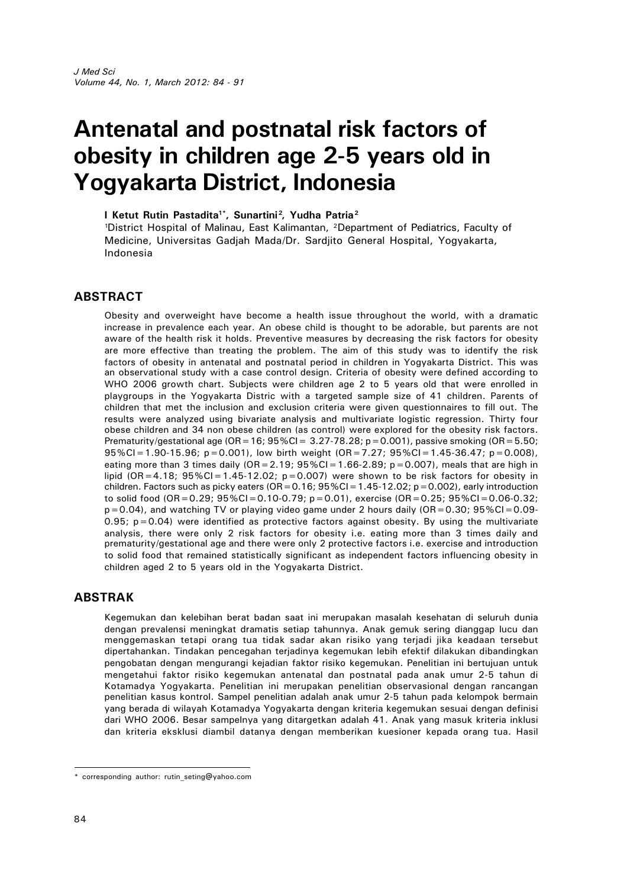# **Antenatal and postnatal risk factors of obesity in children age 2-5 years old in Yogyakarta District, Indonesia**

#### **I Ketut Rutin Pastadita1\*, Sunartini<sup>2</sup> , Yudha Patria<sup>2</sup>**

<sup>1</sup>District Hospital of Malinau, East Kalimantan, <sup>2</sup>Department of Pediatrics, Faculty of Medicine, Universitas Gadjah Mada/Dr. Sardjito General Hospital, Yogyakarta, Indonesia

## **ABSTRACT**

Obesity and overweight have become a health issue throughout the world, with a dramatic increase in prevalence each year. An obese child is thought to be adorable, but parents are not aware of the health risk it holds. Preventive measures by decreasing the risk factors for obesity are more effective than treating the problem. The aim of this study was to identify the risk factors of obesity in antenatal and postnatal period in children in Yogyakarta District. This was an observational study with a case control design. Criteria of obesity were defined according to WHO 2006 growth chart. Subjects were children age 2 to 5 years old that were enrolled in playgroups in the Yogyakarta Distric with a targeted sample size of 41 children. Parents of children that met the inclusion and exclusion criteria were given questionnaires to fill out. The results were analyzed using bivariate analysis and multivariate logistic regression. Thirty four obese children and 34 non obese children (as control) were explored for the obesity risk factors. Prematurity/gestational age ( $OR=16$ ;  $95\%$ CI = 3.27-78.28; p=0.001), passive smoking ( $OR=5.50$ ;  $95\%CI = 1.90-15.96$ ; p=0.001), low birth weight  $(OR = 7.27; 95\% CI = 1.45-36.47; p=0.008)$ , eating more than 3 times daily  $(OR = 2.19; 95\%CI = 1.66-2.89; p = 0.007)$ , meals that are high in lipid (OR=4.18;  $95\%$ CI=1.45-12.02; p=0.007) were shown to be risk factors for obesity in children. Factors such as picky eaters (OR=0.16;  $95\%$ CI=1.45-12.02; p=0.002), early introduction to solid food (OR=0.29; 95%CI=0.10-0.79; p=0.01), exercise (OR=0.25; 95%CI=0.06-0.32;  $p=0.04$ ), and watching TV or playing video game under 2 hours daily (OR=0.30; 95%CI=0.09- $0.95$ ;  $p = 0.04$ ) were identified as protective factors against obesity. By using the multivariate analysis, there were only 2 risk factors for obesity i.e. eating more than 3 times daily and prematurity/gestational age and there were only 2 protective factors i.e. exercise and introduction to solid food that remained statistically significant as independent factors influencing obesity in children aged 2 to 5 years old in the Yogyakarta District.

## **ABSTRAK**

Kegemukan dan kelebihan berat badan saat ini merupakan masalah kesehatan di seluruh dunia dengan prevalensi meningkat dramatis setiap tahunnya. Anak gemuk sering dianggap lucu dan menggemaskan tetapi orang tua tidak sadar akan risiko yang terjadi jika keadaan tersebut dipertahankan. Tindakan pencegahan terjadinya kegemukan lebih efektif dilakukan dibandingkan pengobatan dengan mengurangi kejadian faktor risiko kegemukan. Penelitian ini bertujuan untuk mengetahui faktor risiko kegemukan antenatal dan postnatal pada anak umur 2-5 tahun di Kotamadya Yogyakarta. Penelitian ini merupakan penelitian observasional dengan rancangan penelitian kasus kontrol. Sampel penelitian adalah anak umur 2-5 tahun pada kelompok bermain yang berada di wilayah Kotamadya Yogyakarta dengan kriteria kegemukan sesuai dengan definisi dari WHO 2006. Besar sampelnya yang ditargetkan adalah 41. Anak yang masuk kriteria inklusi dan kriteria eksklusi diambil datanya dengan memberikan kuesioner kepada orang tua. Hasil

<sup>\*</sup> corresponding author: rutin\_seting@yahoo.com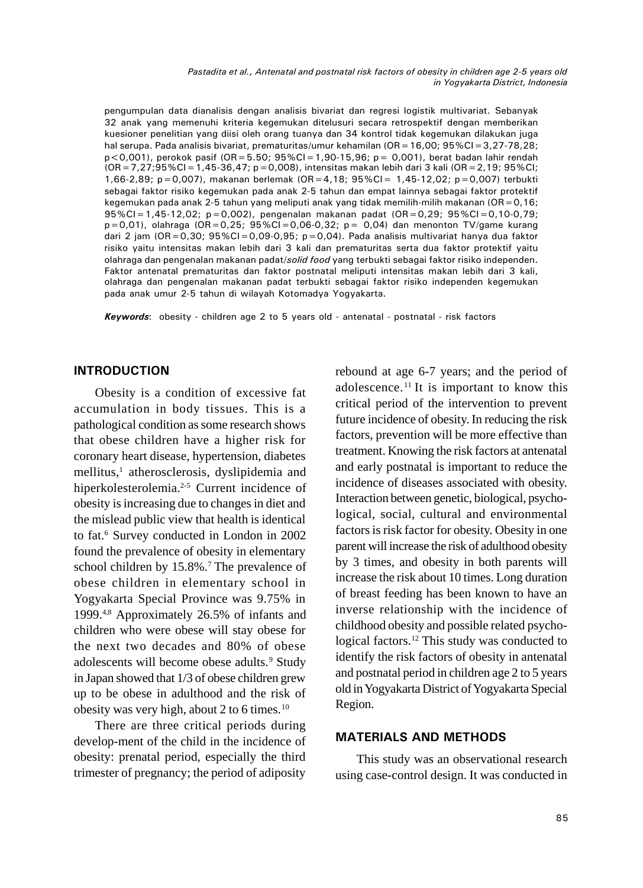*Pastadita et al., Antenatal and postnatal risk factors of obesity in children age 2-5 years old in Yogyakarta District, Indonesia*

pengumpulan data dianalisis dengan analisis bivariat dan regresi logistik multivariat. Sebanyak 32 anak yang memenuhi kriteria kegemukan ditelusuri secara retrospektif dengan memberikan kuesioner penelitian yang diisi oleh orang tuanya dan 34 kontrol tidak kegemukan dilakukan juga hal serupa. Pada analisis bivariat, prematuritas/umur kehamilan (OR = 16,00; 95%CI = 3,27-78,28;  $p < 0.001$ ), perokok pasif (OR=5.50; 95%CI=1,90-15,96; p= 0,001), berat badan lahir rendah  $(OR = 7,27;95\% CI = 1,45-36,47; p = 0,008)$ , intensitas makan lebih dari 3 kali (OR = 2,19; 95%CI; 1,66-2,89; p=0,007), makanan berlemak (OR=4,18; 95%CI= 1,45-12,02; p=0,007) terbukti sebagai faktor risiko kegemukan pada anak 2-5 tahun dan empat lainnya sebagai faktor protektif kegemukan pada anak 2-5 tahun yang meliputi anak yang tidak memilih-milih makanan (OR=0,16; 95%CI=1,45-12,02; p=0,002), pengenalan makanan padat (OR=0,29; 95%CI=0,10-0,79;  $p=0.01$ ), olahraga (OR=0,25; 95%CI=0,06-0,32;  $p=$  0,04) dan menonton TV/game kurang dari 2 jam (OR=0,30;  $95\%$ CI=0,09-0,95; p=0,04). Pada analisis multivariat hanya dua faktor risiko yaitu intensitas makan lebih dari 3 kali dan prematuritas serta dua faktor protektif yaitu olahraga dan pengenalan makanan padat/*solid food* yang terbukti sebagai faktor risiko independen. Faktor antenatal prematuritas dan faktor postnatal meliputi intensitas makan lebih dari 3 kali, olahraga dan pengenalan makanan padat terbukti sebagai faktor risiko independen kegemukan pada anak umur 2-5 tahun di wilayah Kotomadya Yogyakarta.

*Keywords*: obesity - children age 2 to 5 years old - antenatal - postnatal - risk factors

#### **INTRODUCTION**

Obesity is a condition of excessive fat accumulation in body tissues. This is a pathological condition as some research shows that obese children have a higher risk for coronary heart disease, hypertension, diabetes mellitus,<sup>1</sup> atherosclerosis, dyslipidemia and hiperkolesterolemia.<sup>2-5</sup> Current incidence of obesity is increasing due to changes in diet and the mislead public view that health is identical to fat.<sup>6</sup> Survey conducted in London in 2002 found the prevalence of obesity in elementary school children by 15.8%.<sup>7</sup> The prevalence of obese children in elementary school in Yogyakarta Special Province was 9.75% in 1999.4,8 Approximately 26.5% of infants and children who were obese will stay obese for the next two decades and 80% of obese adolescents will become obese adults.<sup>9</sup> Study in Japan showed that 1/3 of obese children grew up to be obese in adulthood and the risk of obesity was very high, about 2 to 6 times.<sup>10</sup>

There are three critical periods during develop-ment of the child in the incidence of obesity: prenatal period, especially the third trimester of pregnancy; the period of adiposity

rebound at age 6-7 years; and the period of adolescence. <sup>11</sup> It is important to know this critical period of the intervention to prevent future incidence of obesity. In reducing the risk factors, prevention will be more effective than treatment. Knowing the risk factors at antenatal and early postnatal is important to reduce the incidence of diseases associated with obesity. Interaction between genetic, biological, psychological, social, cultural and environmental factors is risk factor for obesity. Obesity in one parent will increase the risk of adulthood obesity by 3 times, and obesity in both parents will increase the risk about 10 times. Long duration of breast feeding has been known to have an inverse relationship with the incidence of childhood obesity and possible related psychological factors.<sup>12</sup> This study was conducted to identify the risk factors of obesity in antenatal and postnatal period in children age 2 to 5 years old in Yogyakarta District of Yogyakarta Special Region.

#### **MATERIALS AND METHODS**

This study was an observational research using case-control design. It was conducted in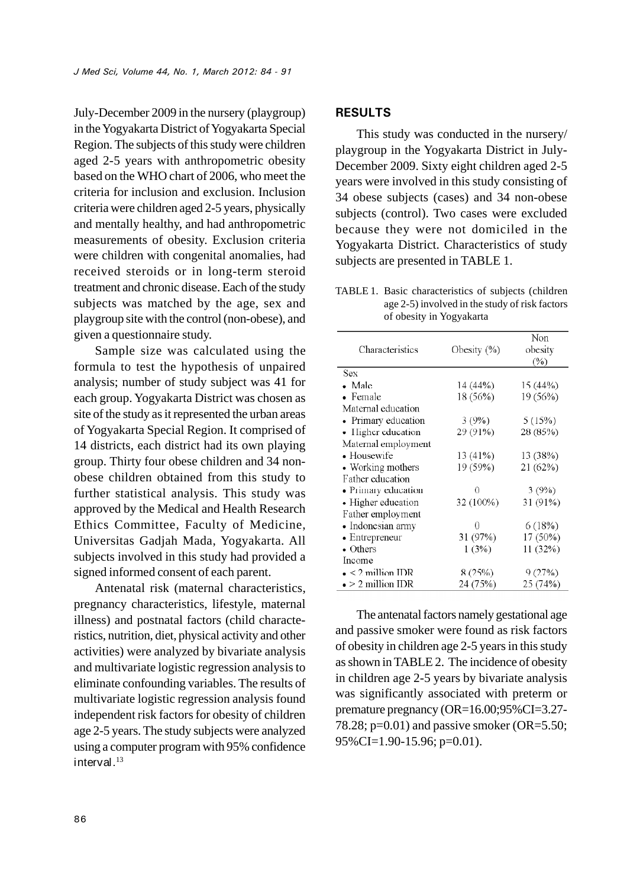July-December 2009 in the nursery (playgroup) in the Yogyakarta District of Yogyakarta Special Region. The subjects of this study were children aged 2-5 years with anthropometric obesity based on the WHO chart of 2006, who meet the criteria for inclusion and exclusion. Inclusion criteria were children aged 2-5 years, physically and mentally healthy, and had anthropometric measurements of obesity. Exclusion criteria were children with congenital anomalies, had received steroids or in long-term steroid treatment and chronic disease. Each of the study subjects was matched by the age, sex and playgroup site with the control (non-obese), and given a questionnaire study.

Sample size was calculated using the formula to test the hypothesis of unpaired analysis; number of study subject was 41 for each group. Yogyakarta District was chosen as site of the study as it represented the urban areas of Yogyakarta Special Region. It comprised of 14 districts, each district had its own playing group. Thirty four obese children and 34 nonobese children obtained from this study to further statistical analysis. This study was approved by the Medical and Health Research Ethics Committee, Faculty of Medicine, Universitas Gadjah Mada, Yogyakarta. All subjects involved in this study had provided a signed informed consent of each parent.

Antenatal risk (maternal characteristics, pregnancy characteristics, lifestyle, maternal illness) and postnatal factors (child characteristics, nutrition, diet, physical activity and other activities) were analyzed by bivariate analysis and multivariate logistic regression analysis to eliminate confounding variables. The results of multivariate logistic regression analysis found independent risk factors for obesity of children age 2-5 years. The study subjects were analyzed using a computer program with 95% confidence interval. $13$ 

#### **RESULTS**

This study was conducted in the nursery/ playgroup in the Yogyakarta District in July-December 2009. Sixty eight children aged 2-5 years were involved in this study consisting of 34 obese subjects (cases) and 34 non-obese subjects (control). Two cases were excluded because they were not domiciled in the Yogyakarta District. Characteristics of study subjects are presented in TABLE 1.

TABLE 1. Basic characteristics of subjects (children age 2-5) involved in the study of risk factors of obesity in Yogyakarta

|                           |             | Non      |
|---------------------------|-------------|----------|
| Characteristics           | Obesity (%) | obesity  |
|                           |             | (%)      |
| Sex                       |             |          |
| • Male                    | 14 (44%)    | 15 (44%) |
| • Female                  | 18 (56%)    | 19 (56%) |
| Maternal education        |             |          |
| • Primary education       | 3(9%)       | 5(15%)   |
| • Higher education        | 29 (91%)    | 28 (85%) |
| Maternal employment       |             |          |
| • Housewife               | 13 (41%)    | 13 (38%) |
| • Working mothers         | 19 (59%)    | 21 (62%) |
| Father education          |             |          |
| • Primary education       | Ω           | 3(9%)    |
| • Higher education        | 32 (100%)   | 31 (91%) |
| Father employment         |             |          |
| • Indonesian army         | 0           | 6 (18%)  |
| $\bullet$ Entrepreneur    | 31 (97%)    | 17 (50%) |
| $\bullet$ Others          | 1(3%)       | 11 (32%) |
| Income                    |             |          |
| $\bullet$ < 2 million IDR | 8 (25%)     | 9 (27%)  |
| $\bullet$ > 2 million IDR | 24 (75%)    | 25 (74%) |

The antenatal factors namely gestational age and passive smoker were found as risk factors of obesity in children age 2-5 years in this study as shown in TABLE 2. The incidence of obesity in children age 2-5 years by bivariate analysis was significantly associated with preterm or premature pregnancy (OR=16.00;95%CI=3.27- 78.28;  $p=0.01$ ) and passive smoker (OR=5.50; 95%CI=1.90-15.96; p=0.01).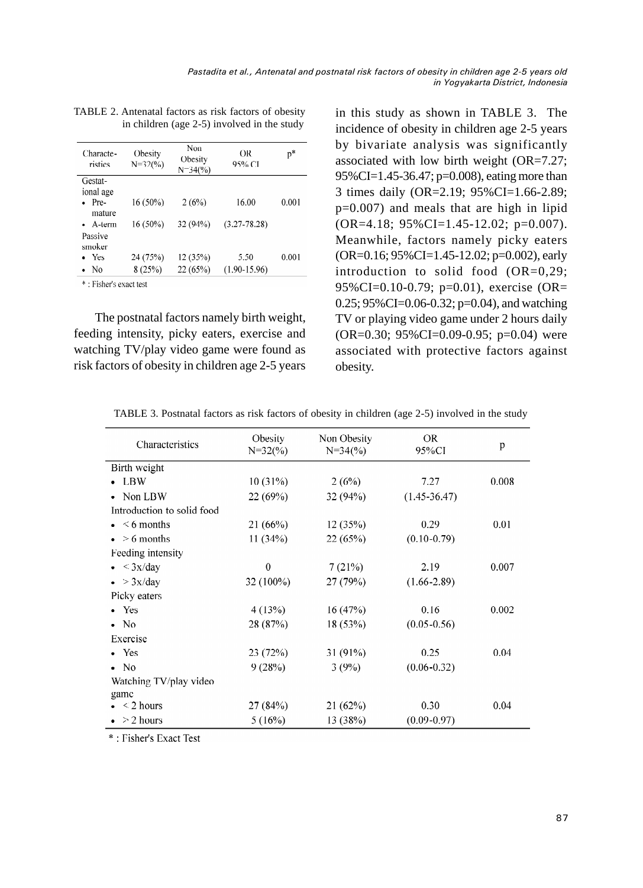| Characte-<br>ristics | Obesity<br>$N=32(%)$ | Non<br>Obesity<br>$N=34(%)$ | OR<br>95% CI     | p*    |
|----------------------|----------------------|-----------------------------|------------------|-------|
| Gestat-              |                      |                             |                  |       |
| ional age            |                      |                             |                  |       |
| Pre-                 | $16(50\%)$           | 2(6%)                       | 16.00            | 0.001 |
| mature               |                      |                             |                  |       |
| $\bullet$ A-term     | $16(50\%)$           | 32 (94%)                    | $(3.27 - 78.28)$ |       |
| Passive              |                      |                             |                  |       |
| smoker               |                      |                             |                  |       |
| $\bullet$ Yes        | 24 (75%)             | 12(35%)                     | 5.50             | 0.001 |
| $\bullet$ No         | 8(25%)               | 22(65%)                     | $(1.90 - 15.96)$ |       |
|                      |                      |                             |                  |       |

TABLE 2. Antenatal factors as risk factors of obesity in children (age 2-5) involved in the study

\*: Fisher's exact test

The postnatal factors namely birth weight, feeding intensity, picky eaters, exercise and watching TV/play video game were found as risk factors of obesity in children age 2-5 years

in this study as shown in TABLE 3. The incidence of obesity in children age 2-5 years by bivariate analysis was significantly associated with low birth weight (OR=7.27; 95%CI=1.45-36.47; p=0.008), eating more than 3 times daily (OR=2.19; 95%CI=1.66-2.89; p=0.007) and meals that are high in lipid (OR=4.18; 95%CI=1.45-12.02; p=0.007). Meanwhile, factors namely picky eaters (OR=0.16; 95%CI=1.45-12.02; p=0.002), early introduction to solid food (OR=0,29; 95%CI=0.10-0.79; p=0.01), exercise (OR=  $0.25$ ; 95%CI=0.06-0.32; p=0.04), and watching TV or playing video game under 2 hours daily (OR=0.30; 95%CI=0.09-0.95; p=0.04) were associated with protective factors against obesity.

| Characteristics            | Obesity<br>$N=32(%)$ | Non Obesity<br>$N=34(%)$ | <b>OR</b><br>95%CI | p     |
|----------------------------|----------------------|--------------------------|--------------------|-------|
| Birth weight               |                      |                          |                    |       |
| $\bullet$ LBW              | 10(31%)              | 2(6%)                    | 7.27               | 0.008 |
| • Non LBW                  | 22 (69%)             | 32(94%)                  | $(1.45 - 36.47)$   |       |
| Introduction to solid food |                      |                          |                    |       |
| $\bullet$ $\leq$ 6 months  | 21(66%)              | 12(35%)                  | 0.29               | 0.01  |
| $\bullet > 6$ months       | 11(34%)              | 22(65%)                  | $(0.10 - 0.79)$    |       |
| Feeding intensity          |                      |                          |                    |       |
| $\bullet \ \ \leq 3x/day$  | $\theta$             | 7(21%)                   | 2.19               | 0.007 |
| $\bullet$ > 3x/day         | 32 (100%)            | 27 (79%)                 | $(1.66 - 2.89)$    |       |
| Picky eaters               |                      |                          |                    |       |
| $\bullet$ Yes              | 4(13%)               | 16(47%)                  | 0.16               | 0.002 |
| $\bullet$ No               | 28 (87%)             | 18(53%)                  | $(0.05 - 0.56)$    |       |
| Exercise                   |                      |                          |                    |       |
| $\bullet$ Yes              | 23(72%)              | 31(91%)                  | 0.25               | 0.04  |
| $\bullet$ No               | 9(28%)               | 3(9%)                    | $(0.06 - 0.32)$    |       |
| Watching TV/play video     |                      |                          |                    |       |
| game                       |                      |                          |                    |       |
| $\bullet$ < 2 hours        | 27 (84%)             | 21(62%)                  | 0.30               | 0.04  |
| $>$ 2 hours                | 5(16%)               | 13 (38%)                 | $(0.09 - 0.97)$    |       |

TABLE 3. Postnatal factors as risk factors of obesity in children (age 2-5) involved in the study

\*: Fisher's Exact Test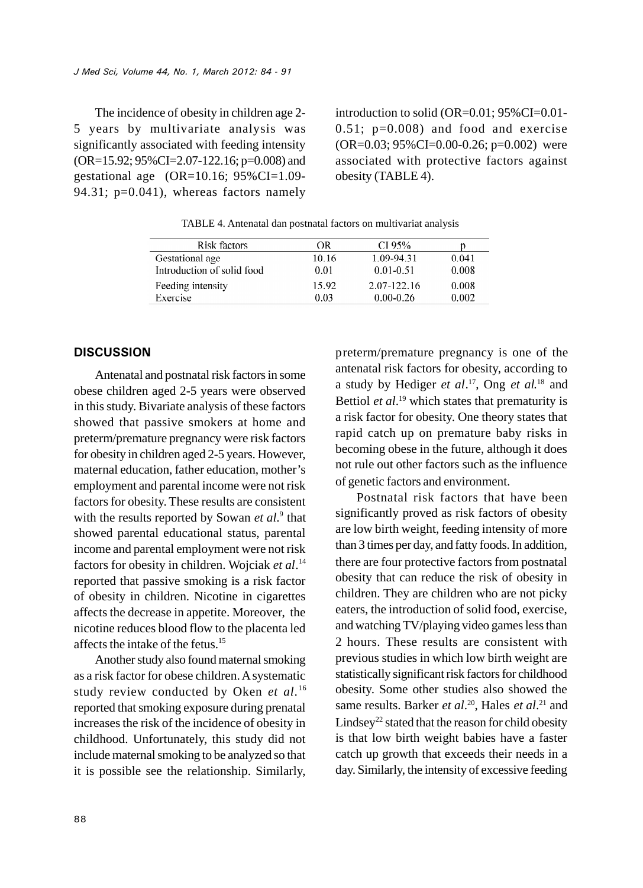The incidence of obesity in children age 2- 5 years by multivariate analysis was significantly associated with feeding intensity (OR=15.92; 95%CI=2.07-122.16; p=0.008) and gestational age  $(OR=10.16; 95\% CI=1.09-$ 94.31;  $p=0.041$ ), whereas factors namely

introduction to solid (OR=0.01; 95%CI=0.01-  $0.51$ ;  $p=0.008$ ) and food and exercise  $(OR=0.03; 95\% CI=0.00-0.26; p=0.002)$  were associated with protective factors against obesity (TABLE 4).

TABLE 4. Antenatal dan postnatal factors on multivariat analysis

| Risk factors               | ΩR    | CI 95%        |       |
|----------------------------|-------|---------------|-------|
| Gestational age            | 10.16 | 1.09-94.31    | 0.041 |
| Introduction of solid food | 0.01  | $0.01 - 0.51$ | 0.008 |
| Feeding intensity          | 15.92 | 2.07-122.16   | 0.008 |
| Exercise                   | 0.03  | $0.00 - 0.26$ | 0.002 |
|                            |       |               |       |

#### **DISCUSSION**

Antenatal and postnatal risk factors in some obese children aged 2-5 years were observed in this study. Bivariate analysis of these factors showed that passive smokers at home and preterm/premature pregnancy were risk factors for obesity in children aged 2-5 years. However, maternal education, father education, mother's employment and parental income were not risk factors for obesity. These results are consistent with the results reported by Sowan *et al.*<sup>9</sup> that showed parental educational status, parental income and parental employment were not risk factors for obesity in children. Wojciak *et al*. 14 reported that passive smoking is a risk factor of obesity in children. Nicotine in cigarettes affects the decrease in appetite. Moreover, the nicotine reduces blood flow to the placenta led affects the intake of the fetus.<sup>15</sup>

Another study also found maternal smoking as a risk factor for obese children. A systematic study review conducted by Oken *et al*. 16 reported that smoking exposure during prenatal increases the risk of the incidence of obesity in childhood. Unfortunately, this study did not include maternal smoking to be analyzed so that it is possible see the relationship. Similarly,

preterm/premature pregnancy is one of the antenatal risk factors for obesity, according to a study by Hediger *et al*. <sup>17</sup>, Ong *et al*. <sup>18</sup> and Bettiol *et al*. <sup>19</sup> which states that prematurity is a risk factor for obesity. One theory states that rapid catch up on premature baby risks in becoming obese in the future, although it does not rule out other factors such as the influence of genetic factors and environment.

Postnatal risk factors that have been significantly proved as risk factors of obesity are low birth weight, feeding intensity of more than 3 times per day, and fatty foods. In addition, there are four protective factors from postnatal obesity that can reduce the risk of obesity in children. They are children who are not picky eaters, the introduction of solid food, exercise, and watching TV/playing video games less than 2 hours. These results are consistent with previous studies in which low birth weight are statistically significant risk factors for childhood obesity. Some other studies also showed the same results. Barker *et al*. <sup>20</sup>, Hales *et al*. <sup>21</sup> and Lindsey<sup>22</sup> stated that the reason for child obesity is that low birth weight babies have a faster catch up growth that exceeds their needs in a day. Similarly, the intensity of excessive feeding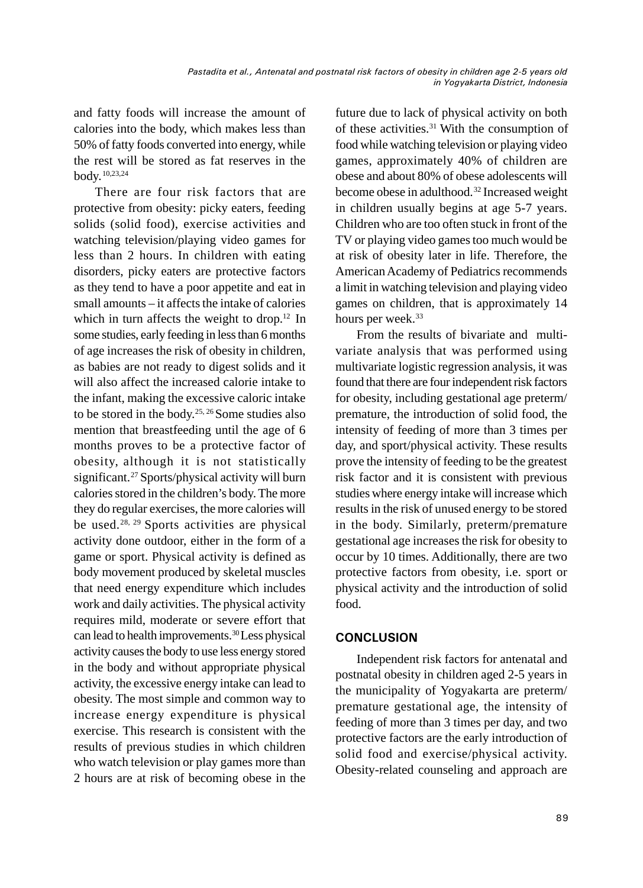and fatty foods will increase the amount of calories into the body, which makes less than 50% of fatty foods converted into energy, while the rest will be stored as fat reserves in the body.10,23,24

There are four risk factors that are protective from obesity: picky eaters, feeding solids (solid food), exercise activities and watching television/playing video games for less than 2 hours. In children with eating disorders, picky eaters are protective factors as they tend to have a poor appetite and eat in small amounts – it affects the intake of calories which in turn affects the weight to drop.<sup>12</sup> In some studies, early feeding in less than 6 months of age increases the risk of obesity in children, as babies are not ready to digest solids and it will also affect the increased calorie intake to the infant, making the excessive caloric intake to be stored in the body.<sup>25, 26</sup> Some studies also mention that breastfeeding until the age of 6 months proves to be a protective factor of obesity, although it is not statistically significant.<sup>27</sup> Sports/physical activity will burn calories stored in the children's body. The more they do regular exercises, the more calories will be used.28, 29 Sports activities are physical activity done outdoor, either in the form of a game or sport. Physical activity is defined as body movement produced by skeletal muscles that need energy expenditure which includes work and daily activities. The physical activity requires mild, moderate or severe effort that can lead to health improvements.30Less physical activity causes the body to use less energy stored in the body and without appropriate physical activity, the excessive energy intake can lead to obesity. The most simple and common way to increase energy expenditure is physical exercise. This research is consistent with the results of previous studies in which children who watch television or play games more than 2 hours are at risk of becoming obese in the

future due to lack of physical activity on both of these activities.<sup>31</sup> With the consumption of food while watching television or playing video games, approximately 40% of children are obese and about 80% of obese adolescents will become obese in adulthood.<sup>32</sup> Increased weight in children usually begins at age 5-7 years. Children who are too often stuck in front of the TV or playing video games too much would be at risk of obesity later in life. Therefore, the American Academy of Pediatrics recommends a limit in watching television and playing video games on children, that is approximately 14 hours per week.<sup>33</sup>

From the results of bivariate and multivariate analysis that was performed using multivariate logistic regression analysis, it was found that there are four independent risk factors for obesity, including gestational age preterm/ premature, the introduction of solid food, the intensity of feeding of more than 3 times per day, and sport/physical activity. These results prove the intensity of feeding to be the greatest risk factor and it is consistent with previous studies where energy intake will increase which results in the risk of unused energy to be stored in the body. Similarly, preterm/premature gestational age increases the risk for obesity to occur by 10 times. Additionally, there are two protective factors from obesity, i.e. sport or physical activity and the introduction of solid food.

## **CONCLUSION**

Independent risk factors for antenatal and postnatal obesity in children aged 2-5 years in the municipality of Yogyakarta are preterm/ premature gestational age, the intensity of feeding of more than 3 times per day, and two protective factors are the early introduction of solid food and exercise/physical activity. Obesity-related counseling and approach are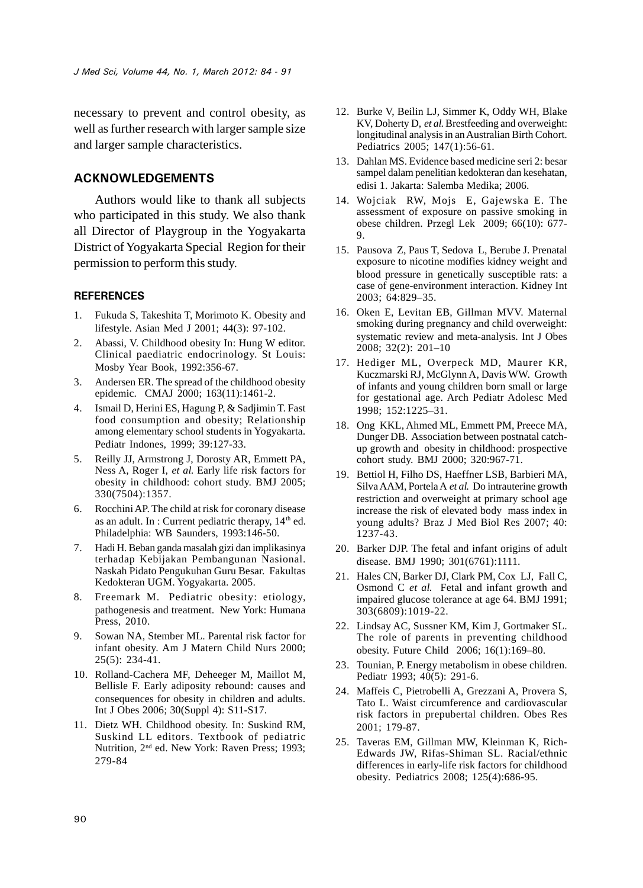necessary to prevent and control obesity, as well as further research with larger sample size and larger sample characteristics.

#### **ACKNOWLEDGEMENTS**

Authors would like to thank all subjects who participated in this study. We also thank all Director of Playgroup in the Yogyakarta District of Yogyakarta Special Region for their permission to perform this study.

#### **REFERENCES**

- 1. Fukuda S, Takeshita T, Morimoto K. Obesity and lifestyle. Asian Med J 2001; 44(3): 97-102.
- 2. Abassi, V. Childhood obesity In: Hung W editor. Clinical paediatric endocrinology. St Louis: Mosby Year Book, 1992:356-67.
- 3. Andersen ER. The spread of the childhood obesity epidemic. CMAJ 2000; 163(11):1461-2.
- 4. Ismail D, Herini ES, Hagung P, & Sadjimin T. Fast food consumption and obesity; Relationship among elementary school students in Yogyakarta. Pediatr Indones, 1999; 39:127-33.
- 5. Reilly JJ, Armstrong J, Dorosty AR, Emmett PA, Ness A, Roger I, *et al*. Early life risk factors for obesity in childhood: cohort study. BMJ 2005; 330(7504):1357.
- 6. Rocchini AP. The child at risk for coronary disease as an adult. In : Current pediatric therapy,  $14<sup>th</sup>$  ed. Philadelphia: WB Saunders, 1993:146-50.
- 7. Hadi H. Beban ganda masalah gizi dan implikasinya terhadap Kebijakan Pembangunan Nasional. Naskah Pidato Pengukuhan Guru Besar. Fakultas Kedokteran UGM. Yogyakarta. 2005.
- 8. Freemark M. Pediatric obesity: etiology, pathogenesis and treatment. New York: Humana Press, 2010.
- 9. Sowan NA, Stember ML. Parental risk factor for infant obesity. Am J Matern Child Nurs 2000; 25(5): 234-41.
- 10. Rolland-Cachera MF, Deheeger M, Maillot M, Bellisle F. Early adiposity rebound: causes and consequences for obesity in children and adults. Int J Obes 2006; 30(Suppl 4): S11-S17.
- 11. Dietz WH. Childhood obesity. In: Suskind RM, Suskind LL editors. Textbook of pediatric Nutrition, 2nd ed. New York: Raven Press; 1993; 279-84
- 12. Burke V, Beilin LJ, Simmer K, Oddy WH, Blake KV, Doherty D, *et al*. Brestfeeding and overweight: longitudinal analysis in an Australian Birth Cohort. Pediatrics 2005; 147(1):56-61.
- 13. Dahlan MS. Evidence based medicine seri 2: besar sampel dalam penelitian kedokteran dan kesehatan, edisi 1. Jakarta: Salemba Medika; 2006.
- 14. Wojciak RW, Mojs E, Gajewska E. The assessment of exposure on passive smoking in obese children. Przegl Lek 2009; 66(10): 677- 9.
- 15. Pausova Z, Paus T, Sedova L, Berube J. Prenatal exposure to nicotine modifies kidney weight and blood pressure in genetically susceptible rats: a case of gene-environment interaction. Kidney Int 2003; 64:829–35.
- 16. Oken E, Levitan EB, Gillman MVV. Maternal smoking during pregnancy and child overweight: systematic review and meta-analysis. Int J Obes 2008; 32(2): 201–10
- 17. Hediger ML, Overpeck MD, Maurer KR, Kuczmarski RJ, McGlynn A, Davis WW. Growth of infants and young children born small or large for gestational age. Arch Pediatr Adolesc Med 1998; 152:1225–31.
- 18. Ong KKL, Ahmed ML, Emmett PM, Preece MA, Dunger DB. Association between postnatal catchup growth and obesity in childhood: prospective cohort study. BMJ 2000; 320:967-71.
- 19. Bettiol H, Filho DS, Haeffner LSB, Barbieri MA, Silva AAM, Portela A *et al*. Do intrauterine growth restriction and overweight at primary school age increase the risk of elevated body mass index in young adults? Braz J Med Biol Res 2007; 40: 1237-43.
- 20. Barker DJP. The fetal and infant origins of adult disease. BMJ 1990; 301(6761):1111.
- 21. Hales CN, Barker DJ, Clark PM, Cox LJ, Fall C, Osmond C *et al*. Fetal and infant growth and impaired glucose tolerance at age 64. BMJ 1991; 303(6809):1019-22.
- 22. Lindsay AC, Sussner KM, Kim J, Gortmaker SL. The role of parents in preventing childhood obesity. Future Child 2006; 16(1):169–80.
- 23. Tounian, P. Energy metabolism in obese children. Pediatr 1993; 40(5): 291-6.
- 24. Maffeis C, Pietrobelli A, Grezzani A, Provera S, Tato L. Waist circumference and cardiovascular risk factors in prepubertal children. Obes Res 2001; 179-87.
- 25. Taveras EM, Gillman MW, Kleinman K, Rich-Edwards JW, Rifas-Shiman SL. Racial/ethnic differences in early-life risk factors for childhood obesity*.* Pediatrics 2008; 125(4):686-95.